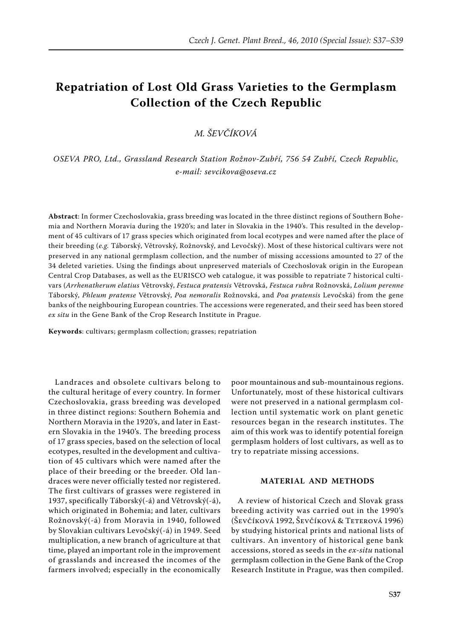# **Repatriation of Lost Old Grass Varieties to the Germplasm Collection of the Czech Republic**

*M. Ševčíková*

*OSEVA PRO, Ltd., Grassland Research Station Rožnov-Zubří, 756 54 Zubří, Czech Republic, e-mail: sevcikova@oseva.cz*

**Abstract**: In former Czechoslovakia, grass breeding was located in the three distinct regions of Southern Bohemia and Northern Moravia during the 1920's; and later in Slovakia in the 1940's. This resulted in the development of 45 cultivars of 17 grass species which originated from local ecotypes and were named after the place of their breeding (*e.g.* Táborský, Větrovský, Rožnovský, and Levočský). Most of these historical cultivars were not preserved in any national germplasm collection, and the number of missing accessions amounted to 27 of the 34 deleted varieties. Using the findings about unpreserved materials of Czechoslovak origin in the European Central Crop Databases, as well as the EURISCO web catalogue, it was possible to repatriate 7 historical cultivars (*Arrhenatherum elatius* Větrovský, *Festuca pratensis* Větrovská, *Festuca rubra* Rožnovská, *Lolium perenne* Táborský, *Phleum pratense* Větrovský, *Poa nemoralis* Rožnovská, and *Poa pratensis* Levočská) from the gene banks of the neighbouring European countries. The accessions were regenerated, and their seed has been stored *ex situ* in the Gene Bank of the Crop Research Institute in Prague.

**Keywords**: cultivars; germplasm collection; grasses; repatriation

Landraces and obsolete cultivars belong to the cultural heritage of every country. In former Czechoslovakia, grass breeding was developed in three distinct regions: Southern Bohemia and Northern Moravia in the 1920's, and later in Eastern Slovakia in the 1940's. The breeding process of 17 grass species, based on the selection of local ecotypes, resulted in the development and cultivation of 45 cultivars which were named after the place of their breeding or the breeder. Old landraces were never officially tested nor registered. The first cultivars of grasses were registered in 1937, specifically Táborský(-á) and Větrovský(-á), which originated in Bohemia; and later, cultivars Rožnovský(-á) from Moravia in 1940, followed by Slovakian cultivars Levočský(-á) in 1949. Seed multiplication, a new branch of agriculture at that time, played an important role in the improvement of grasslands and increased the incomes of the farmers involved; especially in the economically

poor mountainous and sub-mountainous regions. Unfortunately, most of these historical cultivars were not preserved in a national germplasm collection until systematic work on plant genetic resources began in the research institutes. The aim of this work was to identify potential foreign germplasm holders of lost cultivars, as well as to try to repatriate missing accessions.

#### **Material and methods**

A review of historical Czech and Slovak grass breeding activity was carried out in the 1990's (Ševčíková 1992, Ševčíková & Teterová 1996) by studying historical prints and national lists of cultivars. An inventory of historical gene bank accessions, stored as seeds in the *ex-situ* national germplasm collection in the Gene Bank of the Crop Research Institute in Prague, was then compiled.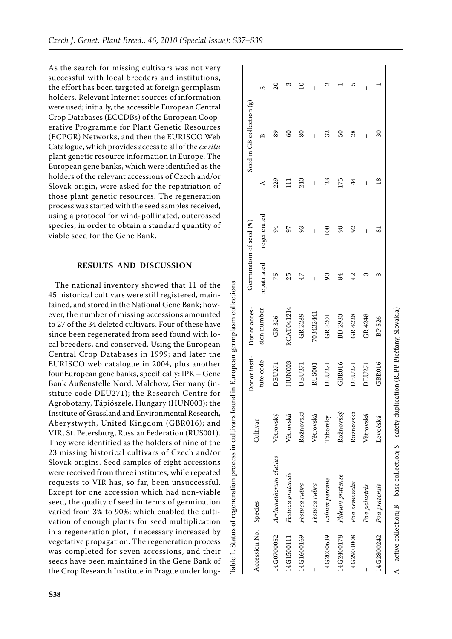As the search for missing cultivars was not very successful with local breeders and institutions, the effort has been targeted at foreign germplasm holders. Relevant Internet sources of information were used; initially, the accessible European Central Crop Databases (ECCDBs) of the European Coop erative Programme for Plant Genetic Resources (ECPGR) Networks, and then the EURISCO Web Catalogue, which provides access to all of the *ex situ* plant genetic resource information in Europe. The European gene banks, which were identified as the holders of the relevant accessions of Czech and/or Slovak origin, were asked for the repatriation of those plant genetic resources. The regeneration process was started with the seed samples received, using a protocol for wind-pollinated, outcrossed species, in order to obtain a standard quantity of viable seed for the Gene Bank.

# **Results and discussion**

The national inventory showed that 11 of the 45 historical cultivars were still registered, main tained, and stored in the National Gene Bank; how ever, the number of missing accessions amounted to 27 of the 34 deleted cultivars. Four of these have since been regenerated from seed found with lo cal breeders, and conserved. Using the European Central Crop Databases in 1999; and later the EURISCO web catalogue in 2004, plus another four European gene banks, specifically: IPK – Gene Bank Außenstelle Nord, Malchow, Germany (in stitute code DEU271); the Research Centre for Agrobotany, Tápiószele, Hungary (HUN003); the Institute of Grassland and Environmental Research, Aberystwyth, United Kingdom (GBR016); and VIR, St. Petersburg, Russian Federation (RUS001). They were identified as the holders of nine of the 23 missing historical cultivars of Czech and/or Slovak origins. Seed samples of eight accessions were received from three institutes, while repeated requests to VIR has, so far, been unsuccessful. Except for one accession which had non-viable seed, the quality of seed in terms of germination varied from 3% to 90%; which enabled the culti vation of enough plants for seed multiplication in a regeneration plot, if necessary increased by vegetative propagation. The regeneration process was completed for seven accessions, and their seeds have been maintained in the Gene Bank of the Crop Research Institute in Prague under longTable 1. Status of regeneration process in cultivars found in European germplasm collections Table 1. Status of regeneration process in cultivars found in European germplasm collections

|                       |                       | Cultivar  | Donor insti-  | Donor acces- | Germination of seed (%) |              |                | Seed in GB collection $(g)$ |   |
|-----------------------|-----------------------|-----------|---------------|--------------|-------------------------|--------------|----------------|-----------------------------|---|
| Accession No. Species |                       |           | tute code     | sion number  | repatriated             | regenerated  | ⋖              | മ                           |   |
| 14G0700052            | Arrhenatherum elatius | Větrovský | DEU271        | GR 326       | 75                      | 54           | 229            | 89                          |   |
| 14G1500111            | Festuca pratensis     | Větrovská | FUN003        | RCAT041214   | 25                      | 56           | Ξ              | 8                           | ᠬ |
| 14G1600169            | Festuca rubra         | Rožnovská | <b>DEU271</b> | GR 2289      | 47                      | 93           | 240            | 80                          |   |
|                       | Festuca rubra         | Větrovská | RUS001        | 703432441    |                         | Ī            | I              |                             |   |
| 14G2000639            | Lolium perenne        | Táborský  | <b>DEU271</b> | GR 3201      | 8                       | $\mathbf{S}$ | 23             | 32                          |   |
| 14G2400178            | Phleum pratense       | Rožnovský | GBR016        | BD 2980      | 84                      | 98           | 175            | S                           |   |
| 14G2903008            | Poa nemoralis         | Rožnovská | <b>DEU271</b> | GR 4228      | 42                      | 92           | 44             | 28                          |   |
|                       | Poa palustris         | Větrovská | DEU271        | GR 4248      |                         | I            | I              | I                           | ı |
| 14G2800242            | Poa pratensis         | Levočská  | GBR016        | BP 526       |                         | ವ            | $\frac{8}{18}$ | 30                          |   |
|                       |                       |           |               |              |                         |              |                |                             |   |

A – active collection; B – base collection; S – safety duplication (RIPP Piešťany, Slovakia)

 $A$  – active collection;  $B$  – base collection;  $S$  – safety duplication (RIPP Piešťany, Slovakia)